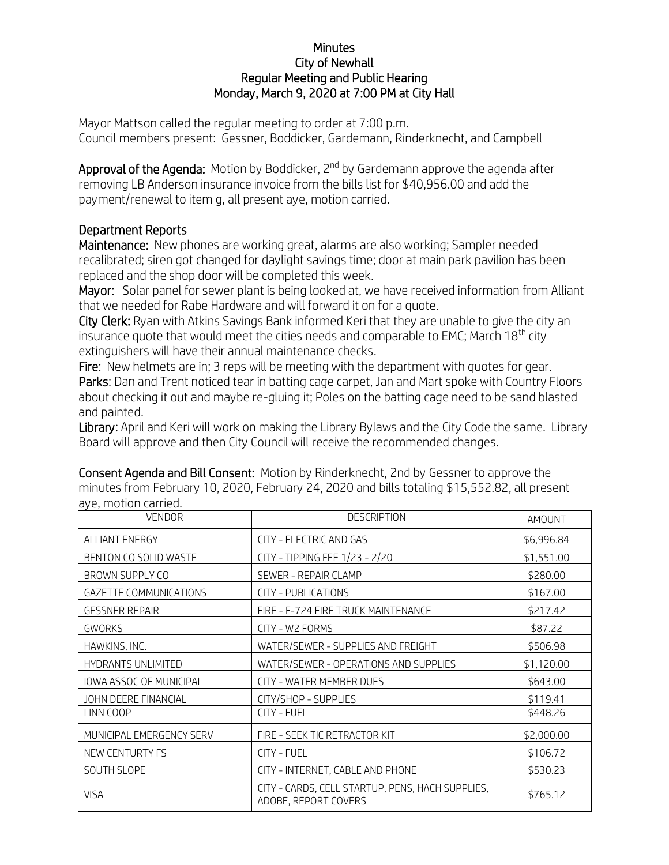## **Minutes** City of Newhall Regular Meeting and Public Hearing Monday, March 9, 2020 at 7:00 PM at City Hall

Mayor Mattson called the regular meeting to order at 7:00 p.m. Council members present: Gessner, Boddicker, Gardemann, Rinderknecht, and Campbell

Approval of the Agenda: Motion by Boddicker, 2<sup>nd</sup> by Gardemann approve the agenda after removing LB Anderson insurance invoice from the bills list for \$40,956.00 and add the payment/renewal to item g, all present aye, motion carried.

## Department Reports

Maintenance: New phones are working great, alarms are also working; Sampler needed recalibrated; siren got changed for daylight savings time; door at main park pavilion has been replaced and the shop door will be completed this week.

Mayor: Solar panel for sewer plant is being looked at, we have received information from Alliant that we needed for Rabe Hardware and will forward it on for a quote.

City Clerk: Ryan with Atkins Savings Bank informed Keri that they are unable to give the city an insurance quote that would meet the cities needs and comparable to EMC; March 18<sup>th</sup> city extinguishers will have their annual maintenance checks.

Fire: New helmets are in; 3 reps will be meeting with the department with quotes for gear. Parks: Dan and Trent noticed tear in batting cage carpet, Jan and Mart spoke with Country Floors about checking it out and maybe re-gluing it; Poles on the batting cage need to be sand blasted and painted.

Library: April and Keri will work on making the Library Bylaws and the City Code the same. Library Board will approve and then City Council will receive the recommended changes.

Consent Agenda and Bill Consent: Motion by Rinderknecht, 2nd by Gessner to approve the minutes from February 10, 2020, February 24, 2020 and bills totaling \$15,552.82, all present aye, motion carried.

| <b>VENDOR</b>                 | <b>DESCRIPTION</b>                                                       | AMOUNT     |
|-------------------------------|--------------------------------------------------------------------------|------------|
| <b>ALLIANT ENERGY</b>         | CITY - ELECTRIC AND GAS                                                  | \$6,996.84 |
| BENTON CO SOLID WASTE         | CITY - TIPPING FEE 1/23 - 2/20                                           | \$1,551.00 |
| BROWN SUPPLY CO               | SEWER - REPAIR CLAMP                                                     | \$280.00   |
| <b>GAZETTE COMMUNICATIONS</b> | CITY - PUBLICATIONS                                                      | \$167.00   |
| <b>GESSNER REPAIR</b>         | FIRE - F-724 FIRE TRUCK MAINTENANCE                                      | \$217.42   |
| <b>GWORKS</b>                 | CITY - W2 FORMS                                                          | \$87.22    |
| HAWKINS, INC.                 | WATER/SEWER - SUPPLIES AND FREIGHT                                       | \$506.98   |
| <b>HYDRANTS UNLIMITED</b>     | WATER/SEWER - OPERATIONS AND SUPPLIES                                    | \$1,120.00 |
| IOWA ASSOC OF MUNICIPAL       | CITY - WATER MEMBER DUES                                                 | \$643.00   |
| JOHN DEERE FINANCIAL          | CITY/SHOP - SUPPLIES                                                     | \$119.41   |
| LINN COOP                     | CITY - FUEL                                                              | \$448.26   |
| MUNICIPAL EMERGENCY SERV      | FIRE - SEEK TIC RETRACTOR KIT                                            | \$2,000.00 |
| NEW CENTURTY FS               | CITY - FUEL                                                              | \$106.72   |
| SOUTH SLOPE                   | CITY - INTERNET, CABLE AND PHONE                                         | \$530.23   |
| <b>VISA</b>                   | CITY - CARDS, CELL STARTUP, PENS, HACH SUPPLIES,<br>ADOBE, REPORT COVERS | \$765.12   |